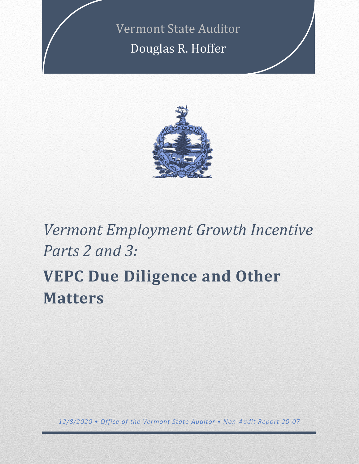Vermont State Auditor Douglas R. Hoffer



# *Vermont Employment Growth Incentive Parts 2 and 3:*  **VEPC Due Diligence and Other Matters**

*12/8/2020 • Office of the Vermont State Auditor • Non-Audit Report 20-07*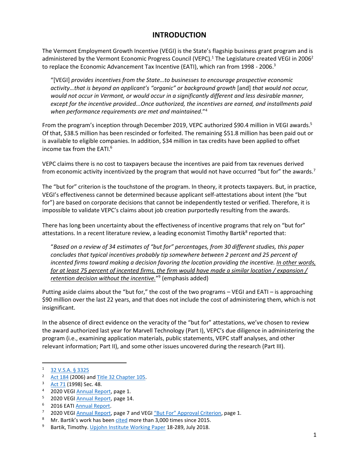### **INTRODUCTION**

The Vermont Employment Growth Incentive (VEGI) is the State's flagship business grant program and is administered by the Vermont Economic Progress Council (VEPC).<sup>1</sup> The Legislature created VEGI in 2006<sup>2</sup> to replace the Economic Advancement Tax Incentive (EATI), which ran from 1998 - 2006.<sup>3</sup>

"[VEGI] *provides incentives from the State…to businesses to encourage prospective economic activity…that is beyond an applicant's "organic" or background growth* [and] *that would not occur, would not occur in Vermont, or would occur in a significantly different and less desirable manner, except for the incentive provided...Once authorized, the incentives are earned, and installments paid when performance requirements are met and maintained*."<sup>4</sup>

From the program's inception through December 2019, VEPC authorized \$90.4 million in VEGI awards.<sup>5</sup> Of that, \$38.5 million has been rescinded or forfeited. The remaining \$51.8 million has been paid out or is available to eligible companies. In addition, \$34 million in tax credits have been applied to offset income tax from the EATI.<sup>6</sup>

VEPC claims there is no cost to taxpayers because the incentives are paid from tax revenues derived from economic activity incentivized by the program that would not have occurred "but for" the awards.<sup>7</sup>

The "but for" criterion is the touchstone of the program. In theory, it protects taxpayers. But, in practice, VEGI's effectiveness cannot be determined because applicant self-attestations about intent (the "but for") are based on corporate decisions that cannot be independently tested or verified. Therefore, it is impossible to validate VEPC's claims about job creation purportedly resulting from the awards.

There has long been uncertainty about the effectiveness of incentive programs that rely on "but for" attestations. In a recent literature review, a leading economist Timothy Bartik<sup>8</sup> reported that:

"*Based on a review of 34 estimates of "but for" percentages, from 30 different studies, this paper concludes that typical incentives probably tip somewhere between 2 percent and 25 percent of incented firms toward making a decision favoring the location providing the incentive. In other words, for at least 75 percent of incented firms, the firm would have made a similar location / expansion / retention decision without the incentive.*" 9 (emphasis added)

Putting aside claims about the "but for," the cost of the two programs – VEGI and EATI – is approaching \$90 million over the last 22 years, and that does not include the cost of administering them, which is not insignificant.

In the absence of direct evidence on the veracity of the "but for" attestations, we've chosen to review the award authorized last year for Marvell Technology (Part I), VEPC's due diligence in administering the program (i.e., examining application materials, public statements, VEPC staff analyses, and other relevant information; Part II), and some other issues uncovered during the research (Part III).

 $\frac{32 \text{ V.S.A. } § 3325}{2 \text{ A} \cdot 194 \cdot (2006) \cdot \text{C}}$ 

[Act 184](http://www.leg.state.vt.us/docs/legdoc.cfm?URL=/docs/2006/acts/ACT184.HTM&Session=2006) (2006) an[d Title 32 Chapter 105.](https://legislature.vermont.gov/statutes/chapter/32/105)

<sup>3</sup> [Act 71](http://www.leg.state.vt.us/DOCS/1998/ACTS/ACT071.HTM) (1998) Sec. 48.

<sup>&</sup>lt;sup>4</sup> 2020 VEGI [Annual Report,](https://accd.vermont.gov/sites/accdnew/files/documents/DED/VEPC/VEGI/2020-VEGI.Annual.Report-FINAL%20-%20No%20Cover%20Letter.pdf) page 1.

<sup>5</sup> 2020 VEG[I Annual Report,](https://accd.vermont.gov/sites/accdnew/files/documents/DED/VEPC/VEGI/2020-VEGI.Annual.Report-FINAL%20-%20No%20Cover%20Letter.pdf) page 14.

<sup>6</sup> 2016 EATI [Annual Report.](https://accd.vermont.gov/sites/accdnew/files/documents/DED/VEPC/EATI%20Summary_07_29_2016.pdf)

<sup>&</sup>lt;sup>7</sup> 2020 VEGI [Annual Report,](https://accd.vermont.gov/sites/accdnew/files/documents/DED/VEPC/VEGI/2020-VEGI.Annual.Report-FINAL%20-%20No%20Cover%20Letter.pdf) page 7 and VEGI ["But For" Approval Criterion](https://accd.vermont.gov/sites/accdnew/files/documents/DED/VEPC/VEGI/ButFor.pdf), page 1.

Mr. Bartik's work has been [cited](https://scholar.google.com/citations?hl=en&user=NRL0rs0AAAAJ&view_op=list_works&sortby=pubdate) more than 3,000 times since 2015.

<sup>&</sup>lt;sup>9</sup> Bartik, Timothy[. Upjohn Institute Working Paper](https://research.upjohn.org/cgi/viewcontent.cgi?article=1307&context=up_workingpapers) 18-289, July 2018.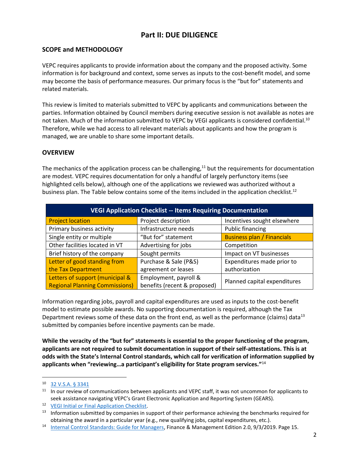## **Part II: DUE DILIGENCE**

#### **SCOPE and METHODOLOGY**

VEPC requires applicants to provide information about the company and the proposed activity. Some information is for background and context, some serves as inputs to the cost-benefit model, and some may become the basis of performance measures. Our primary focus is the "but for" statements and related materials.

This review is limited to materials submitted to VEPC by applicants and communications between the parties. Information obtained by Council members during executive session is not available as notes are not taken. Much of the information submitted to VEPC by VEGI applicants is considered confidential.<sup>10</sup> Therefore, while we had access to all relevant materials about applicants and how the program is managed, we are unable to share some important details.

#### **OVERVIEW**

The mechanics of the application process can be challenging, $11$  but the requirements for documentation are modest. VEPC requires documentation for only a handful of largely perfunctory items (see highlighted cells below), although one of the applications we reviewed was authorized without a business plan. The Table below contains some of the items included in the application checklist.<sup>12</sup>

| <b>VEGI Application Checklist -- Items Requiring Documentation</b> |                              |                                   |  |
|--------------------------------------------------------------------|------------------------------|-----------------------------------|--|
| <b>Project location</b>                                            | Project description          | Incentives sought elsewhere       |  |
| Primary business activity                                          | Infrastructure needs         | <b>Public financing</b>           |  |
| Single entity or multiple                                          | "But for" statement          | <b>Business plan / Financials</b> |  |
| Other facilities located in VT                                     | Advertising for jobs         | Competition                       |  |
| Brief history of the company                                       | Sought permits               | Impact on VT businesses           |  |
| Letter of good standing from                                       | Purchase & Sale (P&S)        | Expenditures made prior to        |  |
| the Tax Department                                                 | agreement or leases          | authorization                     |  |
| Letters of support (municipal &                                    | Employment, payroll &        | Planned capital expenditures      |  |
| <b>Regional Planning Commissions)</b>                              | benefits (recent & proposed) |                                   |  |

Information regarding jobs, payroll and capital expenditures are used as inputs to the cost-benefit model to estimate possible awards. No supporting documentation is required, although the Tax Department reviews some of these data on the front end, as well as the performance (claims) data<sup>13</sup> submitted by companies before incentive payments can be made.

**While the veracity of the "but for" statements is essential to the proper functioning of the program, applicants are not required to submit documentation in support of their self-attestations. This is at odds with the State's Internal Control standards, which call for verification of information supplied by applicants when "reviewing…a participant's eligibility for State program services."**<sup>14</sup>

<sup>10</sup> [32 V.S.A. § 3341](https://legislature.vermont.gov/statutes/section/32/105/03341)

 $11$  In our review of communications between applicants and VEPC staff, it was not uncommon for applicants to seek assistance navigating VEPC's Grant Electronic Application and Reporting System (GEARS).

<sup>12</sup> [VEGI Initial or Final Application Checklist.](https://accd.vermont.gov/sites/accdnew/files/documents/DED/VEPC/VEGI/VEGI%20Full%20App%20Checklist-Final.pdf)

<sup>&</sup>lt;sup>13</sup> Information submitted by companies in support of their performance achieving the benchmarks required for obtaining the award in a particular year (e.g., new qualifying jobs, capital expenditures, etc.).

<sup>&</sup>lt;sup>14</sup> [Internal Control Standards: Guide for Managers,](https://finance.vermont.gov/sites/finance/files/documents/Pol_Proc/IC/FIN-Internal_Control_Standards_Managers_Guide_Master.pdf) Finance & Management Edition 2.0, 9/3/2019. Page 15.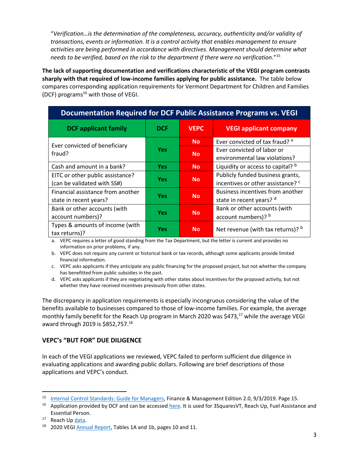"*Verification…is the determination of the completeness, accuracy, authenticity and/or validity of transactions, events or information. It is a control activity that enables management to ensure activities are being performed in accordance with directives. Management should determine what needs to be verified, based on the risk to the department if there were no verification*."<sup>15</sup>

**The lack of supporting documentation and verifications characteristic of the VEGI program contrasts sharply with that required of low-income families applying for public assistance.** The table below compares corresponding application requirements for Vermont Department for Children and Families (DCF) programs<sup>16</sup> with those of VEGI.

| Documentation Required for DCF Public Assistance Programs vs. VEGI |            |             |                                                                                  |
|--------------------------------------------------------------------|------------|-------------|----------------------------------------------------------------------------------|
| <b>DCF applicant family</b>                                        | <b>DCF</b> | <b>VEPC</b> | <b>VEGI applicant company</b>                                                    |
| Ever convicted of beneficiary<br>fraud?                            | <b>Yes</b> | <b>No</b>   | Ever convicted of tax fraud? a                                                   |
|                                                                    |            | <b>No</b>   | Ever convicted of labor or<br>environmental law violations?                      |
| Cash and amount in a bank?                                         | <b>Yes</b> | <b>No</b>   | Liquidity or access to capital? b                                                |
| EITC or other public assistance?<br>(can be validated with SS#)    | <b>Yes</b> | <b>No</b>   | Publicly funded business grants,<br>incentives or other assistance? <sup>c</sup> |
| Financial assistance from another<br>state in recent years?        | <b>Yes</b> | <b>No</b>   | Business incentives from another<br>state in recent years? d                     |
| Bank or other accounts (with<br>account numbers)?                  | <b>Yes</b> | <b>No</b>   | Bank or other accounts (with<br>account numbers)? b                              |
| Types & amounts of income (with<br>tax returns)?                   | <b>Yes</b> | <b>No</b>   | Net revenue (with tax returns)? $b$                                              |

a. VEPC requires a letter of good standing from the Tax Department, but the letter is current and provides no information on prior problems, if any.

b. VEPC does not require any current or historical bank or tax records, although some applicants provide limited financial information.

c. VEPC asks applicants if they anticipate any public financing for the proposed project, but not whether the company has benefitted from public subsidies in the past.

d. VEPC asks applicants if they are negotiating with other states about incentives for the proposed activity, but not whether they have received incentives previously from other states.

The discrepancy in application requirements is especially incongruous considering the value of the benefits available to businesses compared to those of low-income families. For example, the average monthly family benefit for the Reach Up program in March 2020 was \$473,<sup>17</sup> while the average VEGI award through 2019 is \$852,757.<sup>18</sup>

#### **VEPC's "BUT FOR" DUE DILIGENCE**

In each of the VEGI applications we reviewed, VEPC failed to perform sufficient due diligence in evaluating applications and awarding public dollars. Following are brief descriptions of those applications and VEPC's conduct.

<sup>15</sup> [Internal Control Standards: Guide for Managers,](https://finance.vermont.gov/sites/finance/files/documents/Pol_Proc/IC/FIN-Internal_Control_Standards_Managers_Guide_Master.pdf) Finance & Management Edition 2.0, 9/3/2019. Page 15.

<sup>&</sup>lt;sup>16</sup> Application provided by DCF and can be accessed [here.](https://dcf.vermont.gov/mybenefits/apply) It is used for 3SquaresVT, Reach Up, Fuel Assistance and Essential Person.

Reach Up [data.](https://dcf.vermont.gov/sites/dcf/files/ESD/Report/RU%20County.pdf)

<sup>&</sup>lt;sup>18</sup> 2020 VEGI [Annual Report,](https://accd.vermont.gov/sites/accdnew/files/documents/DED/VEPC/VEGI/2020-VEGI.Annual.Report-FINAL%20-%20No%20Cover%20Letter.pdf) Tables 1A and 1b, pages 10 and 11.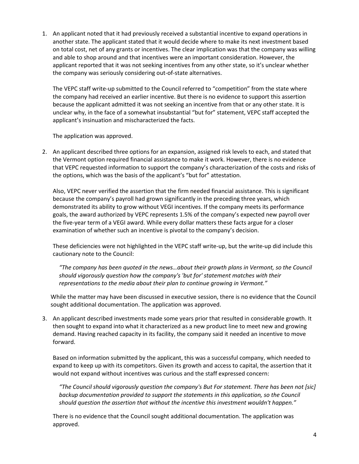1. An applicant noted that it had previously received a substantial incentive to expand operations in another state. The applicant stated that it would decide where to make its next investment based on total cost, net of any grants or incentives. The clear implication was that the company was willing and able to shop around and that incentives were an important consideration. However, the applicant reported that it was not seeking incentives from any other state, so it's unclear whether the company was seriously considering out-of-state alternatives.

The VEPC staff write-up submitted to the Council referred to "competition" from the state where the company had received an earlier incentive. But there is no evidence to support this assertion because the applicant admitted it was not seeking an incentive from that or any other state. It is unclear why, in the face of a somewhat insubstantial "but for" statement, VEPC staff accepted the applicant's insinuation and mischaracterized the facts.

The application was approved.

2. An applicant described three options for an expansion, assigned risk levels to each, and stated that the Vermont option required financial assistance to make it work. However, there is no evidence that VEPC requested information to support the company's characterization of the costs and risks of the options, which was the basis of the applicant's "but for" attestation.

Also, VEPC never verified the assertion that the firm needed financial assistance. This is significant because the company's payroll had grown significantly in the preceding three years, which demonstrated its ability to grow without VEGI incentives. If the company meets its performance goals, the award authorized by VEPC represents 1.5% of the company's expected new payroll over the five-year term of a VEGI award. While every dollar matters these facts argue for a closer examination of whether such an incentive is pivotal to the company's decision.

These deficiencies were not highlighted in the VEPC staff write-up, but the write-up did include this cautionary note to the Council:

*"The company has been quoted in the news…about their growth plans in Vermont, so the Council should vigorously question how the company's 'but for' statement matches with their representations to the media about their plan to continue growing in Vermont."*

While the matter may have been discussed in executive session, there is no evidence that the Council sought additional documentation. The application was approved.

3. An applicant described investments made some years prior that resulted in considerable growth. It then sought to expand into what it characterized as a new product line to meet new and growing demand. Having reached capacity in its facility, the company said it needed an incentive to move forward.

Based on information submitted by the applicant, this was a successful company, which needed to expand to keep up with its competitors. Given its growth and access to capital, the assertion that it would not expand without incentives was curious and the staff expressed concern:

*"The Council should vigorously question the company's But For statement. There has been not [sic] backup documentation provided to support the statements in this application, so the Council should question the assertion that without the incentive this investment wouldn't happen."*

There is no evidence that the Council sought additional documentation. The application was approved.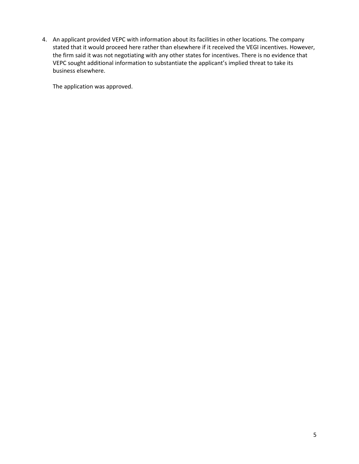4. An applicant provided VEPC with information about its facilities in other locations. The company stated that it would proceed here rather than elsewhere if it received the VEGI incentives. However, the firm said it was not negotiating with any other states for incentives. There is no evidence that VEPC sought additional information to substantiate the applicant's implied threat to take its business elsewhere.

The application was approved.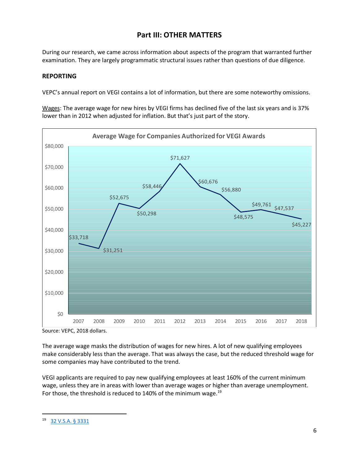## **Part III: OTHER MATTERS**

During our research, we came across information about aspects of the program that warranted further examination. They are largely programmatic structural issues rather than questions of due diligence.

#### **REPORTING**

VEPC's annual report on VEGI contains a lot of information, but there are some noteworthy omissions.

Wages: The average wage for new hires by VEGI firms has declined five of the last six years and is 37% lower than in 2012 when adjusted for inflation. But that's just part of the story.



Source: VEPC, 2018 dollars.

The average wage masks the distribution of wages for new hires. A lot of new qualifying employees make considerably less than the average. That was always the case, but the reduced threshold wage for some companies may have contributed to the trend.

VEGI applicants are required to pay new qualifying employees at least 160% of the current minimum wage, unless they are in areas with lower than average wages or higher than average unemployment. For those, the threshold is reduced to 140% of the minimum wage.<sup>19</sup>

<sup>19</sup> 32 [V.S.A. § 3331](https://legislature.vermont.gov/statutes/section/32/105/03331)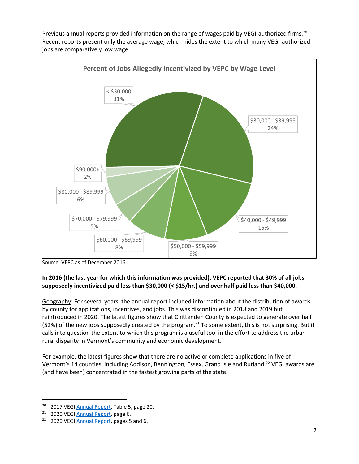

Previous annual reports provided information on the range of wages paid by VEGI-authorized firms.<sup>20</sup> Recent reports present only the average wage, which hides the extent to which many VEGI-authorized jobs are comparatively low wage.

Source: VEPC as of December 2016.

#### **In 2016 (the last year for which this information was provided), VEPC reported that 30% of all jobs supposedly incentivized paid less than \$30,000 (< \$15/hr.) and over half paid less than \$40,000.**

Geography: For several years, the annual report included information about the distribution of awards by county for applications, incentives, and jobs. This was discontinued in 2018 and 2019 but reintroduced in 2020. The latest figures show that Chittenden County is expected to generate over half (52%) of the new jobs supposedly created by the program.<sup>21</sup> To some extent, this is not surprising. But it calls into question the extent to which this program is a useful tool in the effort to address the urban – rural disparity in Vermont's community and economic development.

For example, the latest figures show that there are no active or complete applications in five of Vermont's 14 counties, including Addison, Bennington, Essex, Grand Isle and Rutland.<sup>22</sup> VEGI awards are (and have been) concentrated in the fastest growing parts of the state.

<sup>&</sup>lt;sup>20</sup> 2017 VEG[I Annual Report,](https://accd.vermont.gov/sites/accdnew/files/documents/DED/VEPC/VEGI/2017_VEGI_AnnualReport-Final.pdf) Table 5, page 20.

<sup>&</sup>lt;sup>21</sup> 2020 VEGI [Annual Report,](https://accd.vermont.gov/sites/accdnew/files/documents/DED/VEPC/VEGI/2020-VEGI.Annual.Report-FINAL%20-%20No%20Cover%20Letter.pdf) page 6.

<sup>&</sup>lt;sup>22</sup> 2020 VEG[I Annual Report,](https://accd.vermont.gov/sites/accdnew/files/documents/DED/VEPC/VEGI/2020-VEGI.Annual.Report-FINAL%20-%20No%20Cover%20Letter.pdf) pages 5 and 6.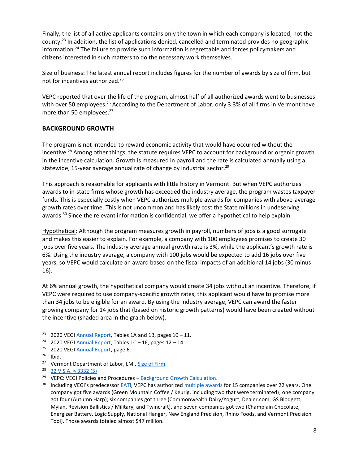Finally, the list of all active applicants contains only the town in which each company is located, not the county.<sup>23</sup> In addition, the list of applications denied, cancelled and terminated provides no geographic information.<sup>24</sup> The failure to provide such information is regrettable and forces policymakers and citizens interested in such matters to do the necessary work themselves.

Size of business: The latest annual report includes figures for the number of awards by size of firm, but not for incentives authorized. 25

VEPC reported that over the life of the program, almost half of all authorized awards went to businesses with over 50 employees.<sup>26</sup> According to the Department of Labor, only 3.3% of all firms in Vermont have more than 50 employees.<sup>27</sup>

#### **BACKGROUND GROWTH**

The program is not intended to reward economic activity that would have occurred without the incentive.<sup>28</sup> Among other things, the statute requires VEPC to account for background or organic growth in the incentive calculation. Growth is measured in payroll and the rate is calculated annually using a statewide, 15-year average annual rate of change by industrial sector.<sup>29</sup>

This approach is reasonable for applicants with little history in Vermont. But when VEPC authorizes awards to in-state firms whose growth has exceeded the industry average, the program wastes taxpayer funds. This is especially costly when VEPC authorizes multiple awards for companies with above-average growth rates over time. This is not uncommon and has likely cost the State millions in undeserving awards.<sup>30</sup> Since the relevant information is confidential, we offer a hypothetical to help explain.

Hypothetical: Although the program measures growth in payroll, numbers of jobs is a good surrogate and makes this easier to explain. For example, a company with 100 employees promises to create 30 jobs over five years. The industry average annual growth rate is 3%, while the applicant's growth rate is 6%. Using the industry average, a company with 100 jobs would be expected to add 16 jobs over five years, so VEPC would calculate an award based on the fiscal impacts of an additional 14 jobs (30 minus 16).

At 6% annual growth, the hypothetical company would create 34 jobs without an incentive. Therefore, if VEPC were required to use company-specific growth rates, this applicant would have to promise more than 34 jobs to be eligible for an award. By using the industry average, VEPC can award the faster growing company for 14 jobs that (based on historic growth patterns) would have been created without the incentive (shaded area in the graph below).

<sup>&</sup>lt;sup>23</sup> 2020 VEGI [Annual Report,](https://accd.vermont.gov/sites/accdnew/files/documents/DED/VEPC/VEGI/2020-VEGI.Annual.Report-FINAL%20-%20No%20Cover%20Letter.pdf) Tables 1A and 1B, pages  $10 - 11$ .

<sup>&</sup>lt;sup>24</sup> 2020 VEG[I Annual Report,](https://accd.vermont.gov/sites/accdnew/files/documents/DED/VEPC/VEGI/2020-VEGI.Annual.Report-FINAL%20-%20No%20Cover%20Letter.pdf) Tables  $1C - 1E$ , pages  $12 - 14$ .

<sup>&</sup>lt;sup>25</sup> 2020 VEGI [Annual Report,](https://accd.vermont.gov/sites/accdnew/files/documents/DED/VEPC/VEGI/2020-VEGI.Annual.Report-FINAL%20-%20No%20Cover%20Letter.pdf) page 6.

 $26$  Ibid.

<sup>&</sup>lt;sup>27</sup> Vermont Department of Labor, LMI, [Size of Firm.](http://www.vtlmi.info/indnaics.htm#size)

<sup>28</sup> [32 V.S.A. § 3332 \(5\)](https://legislature.vermont.gov/statutes/section/32/105/03332)

<sup>&</sup>lt;sup>29</sup> VEPC: VEGI Policies and Procedures  $-$  [Background Growth Calculation.](https://accd.vermont.gov/sites/accdnew/files/documents/DED/VEPC/VEGI/BackgroundGrowthCalculation.pdf)

<sup>&</sup>lt;sup>30</sup> Including VEGI's predecessor **[EATI,](https://accd.vermont.gov/sites/accdnew/files/documents/DED/VEPC/2012_EATIAnnualReport.pdf) VEPC has authorized** [multiple awards](https://accd.vermont.gov/sites/accdnew/files/documents/DED/VEPC/VEGI/2020-VEGI.Annual.Report-FINAL%20-%20No%20Cover%20Letter.pdf) for 15 companies over 22 years. One company got five awards (Green Mountain Coffee / Keurig, including two that were terminated); one company got four (Autumn Harp); six companies got three (Commonwealth Dairy/Yogurt, Dealer.com, GS Blodgett, Mylan, Revision Ballistics / Military, and Twincraft), and seven companies got two (Champlain Chocolate, Energizer Battery, Logic Supply, National Hanger, New England Precision, Rhino Foods, and Vermont Precision Tool). Those awards totaled almost \$47 million.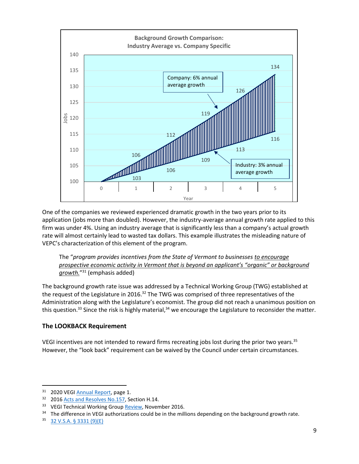

One of the companies we reviewed experienced dramatic growth in the two years prior to its application (jobs more than doubled). However, the industry-average annual growth rate applied to this firm was under 4%. Using an industry average that is significantly less than a company's actual growth rate will almost certainly lead to wasted tax dollars. This example illustrates the misleading nature of VEPC's characterization of this element of the program.

The "*program provides incentives from the State of Vermont to businesses to encourage prospective economic activity in Vermont that is beyond an applicant's "organic" or background growth.*" <sup>31</sup> (emphasis added)

The background growth rate issue was addressed by a Technical Working Group (TWG) established at the request of the Legislature in 2016.<sup>32</sup> The TWG was comprised of three representatives of the Administration along with the Legislature's economist. The group did not reach a unanimous position on this question.<sup>33</sup> Since the risk is highly material,<sup>34</sup> we encourage the Legislature to reconsider the matter.

#### **The LOOKBACK Requirement**

VEGI incentives are not intended to reward firms recreating jobs lost during the prior two years.<sup>35</sup> However, the "look back" requirement can be waived by the Council under certain circumstances.

<sup>&</sup>lt;sup>31</sup> 2020 VEGI [Annual Report,](https://accd.vermont.gov/sites/accdnew/files/documents/DED/VEPC/VEGI/2020-VEGI.Annual.Report-FINAL%20-%20No%20Cover%20Letter.pdf) page 1.

<sup>&</sup>lt;sup>32</sup> 2016 [Acts and Resolves No.157,](https://legislature.vermont.gov/Documents/2016/Docs/ACTS/ACT157/ACT157%20As%20Enacted.pdf) Section H.14.

<sup>&</sup>lt;sup>33</sup> VEGI Technical Working Group [Review,](https://ljfo.vermont.gov/assets/docs/reports/184e78eded/TWG-Final-Report-11-09-2016.pdf) November 2016.

 $34$  The difference in VEGI authorizations could be in the millions depending on the background growth rate.

<sup>35</sup> [32 V.S.A. § 3331 \(9\)\(E\)](https://legislature.vermont.gov/statutes/section/32/105/03331)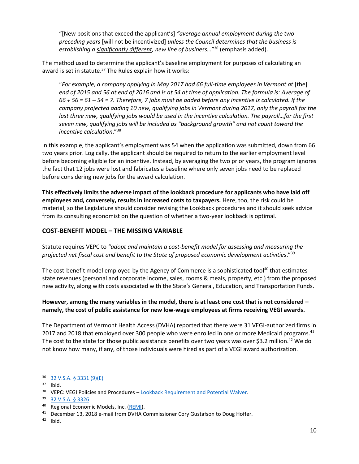"[New positions that exceed the applicant's] *"average annual employment during the two preceding years* [will not be incentivized] *unless the Council determines that the business is establishing a significantly different, new line of business…*" <sup>36</sup> (emphasis added).

The method used to determine the applicant's baseline employment for purposes of calculating an award is set in statute.<sup>37</sup> The Rules explain how it works:

"For example, a company applying in May 2017 had 66 full-time employees in Vermont at [the] *end of 2015 and 56 at end of 2016 and is at 54 at time of application. The formula is: Average of 66 + 56 = 61 – 54 = 7. Therefore, 7 jobs must be added before any incentive is calculated. If the company projected adding 10 new, qualifying jobs in Vermont during 2017, only the payroll for the last three new, qualifying jobs would be used in the incentive calculation. The payroll…for the first seven new, qualifying jobs will be included as "background growth" and not count toward the incentive calculation*."<sup>38</sup>

In this example, the applicant's employment was 54 when the application was submitted, down from 66 two years prior. Logically, the applicant should be required to return to the earlier employment level before becoming eligible for an incentive. Instead, by averaging the two prior years, the program ignores the fact that 12 jobs were lost and fabricates a baseline where only seven jobs need to be replaced before considering new jobs for the award calculation.

**This effectively limits the adverse impact of the lookback procedure for applicants who have laid off employees and, conversely, results in increased costs to taxpayers.** Here, too, the risk could be material, so the Legislature should consider revising the Lookback procedures and it should seek advice from its consulting economist on the question of whether a two-year lookback is optimal.

#### **COST-BENEFIT MODEL – THE MISSING VARIABLE**

Statute requires VEPC to *"adopt and maintain a cost-benefit model for assessing and measuring the projected net fiscal cost and benefit to the State of proposed economic development activities*."<sup>39</sup>

The cost-benefit model employed by the Agency of Commerce is a sophisticated tool<sup>40</sup> that estimates state revenues (personal and corporate income, sales, rooms & meals, property, etc.) from the proposed new activity, along with costs associated with the State's General, Education, and Transportation Funds.

#### **However, among the many variables in the model, there is at least one cost that is not considered – namely, the cost of public assistance for new low-wage employees at firms receiving VEGI awards.**

The Department of Vermont Health Access (DVHA) reported that there were 31 VEGI-authorized firms in 2017 and 2018 that employed over 300 people who were enrolled in one or more Medicaid programs.<sup>41</sup> The cost to the state for those public assistance benefits over two years was over \$3.2 million.<sup>42</sup> We do not know how many, if any, of those individuals were hired as part of a VEGI award authorization.

<sup>36</sup> [32 V.S.A. § 3331 \(9\)\(E\)](https://legislature.vermont.gov/statutes/section/32/105/03331)

 $37$  Ibid.

<sup>&</sup>lt;sup>38</sup> VEPC: VEGI Policies and Procedures - [Lookback Requirement and Potential Waiver.](https://accd.vermont.gov/sites/accdnew/files/documents/DED/VEPC/VEGI/LookBackRequirementAndWaiver.pdf)

<sup>39</sup> [32 V.S.A. § 3326](https://legislature.vermont.gov/statutes/section/32/105/03326)

<sup>&</sup>lt;sup>40</sup> Regional Economic Models, Inc. [\(REMI\)](https://www.remi.com/).

<sup>&</sup>lt;sup>41</sup> December 13, 2018 e-mail from DVHA Commissioner Cory Gustafson to Doug Hoffer.

<sup>42</sup> Ibid.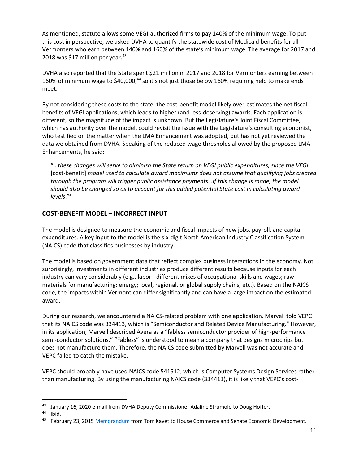As mentioned, statute allows some VEGI-authorized firms to pay 140% of the minimum wage. To put this cost in perspective, we asked DVHA to quantify the statewide cost of Medicaid benefits for all Vermonters who earn between 140% and 160% of the state's minimum wage. The average for 2017 and 2018 was \$17 million per year. $43$ 

DVHA also reported that the State spent \$21 million in 2017 and 2018 for Vermonters earning between 160% of minimum wage to \$40,000,<sup>44</sup> so it's not just those below 160% requiring help to make ends meet.

By not considering these costs to the state, the cost-benefit model likely over-estimates the net fiscal benefits of VEGI applications, which leads to higher (and less-deserving) awards. Each application is different, so the magnitude of the impact is unknown. But the Legislature's Joint Fiscal Committee, which has authority over the model, could revisit the issue with the Legislature's consulting economist, who testified on the matter when the LMA Enhancement was adopted, but has not yet reviewed the data we obtained from DVHA. Speaking of the reduced wage thresholds allowed by the proposed LMA Enhancements, he said:

"*…these changes will serve to diminish the State return on VEGI public expenditures, since the VEGI*  [cost-benefit] *model used to calculate award maximums does not assume that qualifying jobs created through the program will trigger public assistance payments…If this change is made, the model should also be changed so as to account for this added potential State cost in calculating award levels*."<sup>45</sup>

#### **COST-BENEFIT MODEL – INCORRECT INPUT**

The model is designed to measure the economic and fiscal impacts of new jobs, payroll, and capital expenditures. A key input to the model is the six-digit North American Industry Classification System (NAICS) code that classifies businesses by industry.

The model is based on government data that reflect complex business interactions in the economy. Not surprisingly, investments in different industries produce different results because inputs for each industry can vary considerably (e.g., labor - different mixes of occupational skills and wages; raw materials for manufacturing; energy; local, regional, or global supply chains, etc.). Based on the NAICS code, the impacts within Vermont can differ significantly and can have a large impact on the estimated award.

During our research, we encountered a NAICS-related problem with one application. Marvell told VEPC that its NAICS code was 334413, which is "Semiconductor and Related Device Manufacturing." However, in its application, Marvell described Avera as a "fabless semiconductor provider of high-performance semi-conductor solutions." "Fabless" is understood to mean a company that designs microchips but does not manufacture them. Therefore, the NAICS code submitted by Marvell was not accurate and VEPC failed to catch the mistake.

VEPC should probably have used NAICS code 541512, which is Computer Systems Design Services rather than manufacturing. By using the manufacturing NAICS code (334413), it is likely that VEPC's cost-

<sup>43</sup> January 16, 2020 e-mail from DVHA Deputy Commissioner Adaline Strumolo to Doug Hoffer.

<sup>44</sup> Ibid.

February 23, 201[5 Memorandum](https://legislature.vermont.gov/Documents/2016/WorkGroups/House%20Commerce/Appropriations%20Memo%20on%20FY%202016/W~Tom%20Kavet~Draft%20Economic%20Development%20Initiatives~3-10-2015.pdf) from Tom Kavet to House Commerce and Senate Economic Development.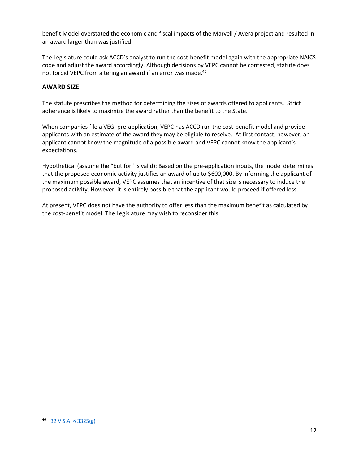benefit Model overstated the economic and fiscal impacts of the Marvell / Avera project and resulted in an award larger than was justified.

The Legislature could ask ACCD's analyst to run the cost-benefit model again with the appropriate NAICS code and adjust the award accordingly. Although decisions by VEPC cannot be contested, statute does not forbid VEPC from altering an award if an error was made.<sup>46</sup>

#### **AWARD SIZE**

The statute prescribes the method for determining the sizes of awards offered to applicants. Strict adherence is likely to maximize the award rather than the benefit to the State.

When companies file a VEGI pre-application, VEPC has ACCD run the cost-benefit model and provide applicants with an estimate of the award they may be eligible to receive. At first contact, however, an applicant cannot know the magnitude of a possible award and VEPC cannot know the applicant's expectations.

Hypothetical (assume the "but for" is valid): Based on the pre-application inputs, the model determines that the proposed economic activity justifies an award of up to \$600,000. By informing the applicant of the maximum possible award, VEPC assumes that an incentive of that size is necessary to induce the proposed activity. However, it is entirely possible that the applicant would proceed if offered less.

At present, VEPC does not have the authority to offer less than the maximum benefit as calculated by the cost-benefit model. The Legislature may wish to reconsider this.

<sup>46</sup> [32 V.S.A. § 3325\(g\)](https://legislature.vermont.gov/statutes/section/32/105/03325)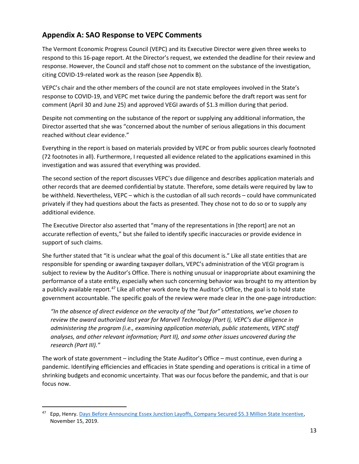## **Appendix A: SAO Response to VEPC Comments**

The Vermont Economic Progress Council (VEPC) and its Executive Director were given three weeks to respond to this 16-page report. At the Director's request, we extended the deadline for their review and response. However, the Council and staff chose not to comment on the substance of the investigation, citing COVID-19-related work as the reason (see Appendix B).

VEPC's chair and the other members of the council are not state employees involved in the State's response to COVID-19, and VEPC met twice during the pandemic before the draft report was sent for comment (April 30 and June 25) and approved VEGI awards of \$1.3 million during that period.

Despite not commenting on the substance of the report or supplying any additional information, the Director asserted that she was "concerned about the number of serious allegations in this document reached without clear evidence."

Everything in the report is based on materials provided by VEPC or from public sources clearly footnoted (72 footnotes in all). Furthermore, I requested all evidence related to the applications examined in this investigation and was assured that everything was provided.

The second section of the report discusses VEPC's due diligence and describes application materials and other records that are deemed confidential by statute. Therefore, some details were required by law to be withheld. Nevertheless, VEPC – which is the custodian of all such records – could have communicated privately if they had questions about the facts as presented. They chose not to do so or to supply any additional evidence.

The Executive Director also asserted that "many of the representations in [the report] are not an accurate reflection of events," but she failed to identify specific inaccuracies or provide evidence in support of such claims.

She further stated that "it is unclear what the goal of this document is." Like all state entities that are responsible for spending or awarding taxpayer dollars, VEPC's administration of the VEGI program is subject to review by the Auditor's Office. There is nothing unusual or inappropriate about examining the performance of a state entity, especially when such concerning behavior was brought to my attention by a publicly available report.<sup>47</sup> Like all other work done by the Auditor's Office, the goal is to hold state government accountable. The specific goals of the review were made clear in the one-page introduction:

*"In the absence of direct evidence on the veracity of the "but for" attestations, we've chosen to review the award authorized last year for Marvell Technology (Part I), VEPC's due diligence in administering the program (i.e., examining application materials, public statements, VEPC staff analyses, and other relevant information; Part II), and some other issues uncovered during the research (Part III)."*

The work of state government – including the State Auditor's Office – must continue, even during a pandemic. Identifying efficiencies and efficacies in State spending and operations is critical in a time of shrinking budgets and economic uncertainty. That was our focus before the pandemic, and that is our focus now.

<sup>&</sup>lt;sup>47</sup> Epp, Henry. [Days Before Announcing Essex Junction Layoffs, Company Secured \\$5.3 Million State Incentive,](https://www.vpr.org/post/days-announcing-essex-junction-layoffs-company-secured-53-million-state-incentive#stream/0) November 15, 2019.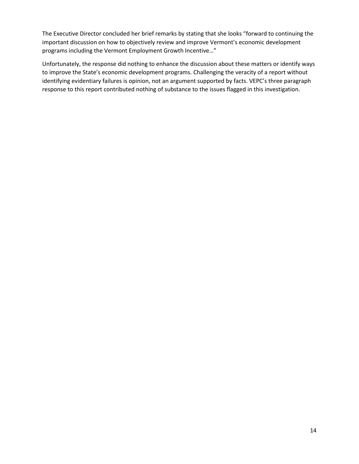The Executive Director concluded her brief remarks by stating that she looks "forward to continuing the important discussion on how to objectively review and improve Vermont's economic development programs including the Vermont Employment Growth Incentive…"

Unfortunately, the response did nothing to enhance the discussion about these matters or identify ways to improve the State's economic development programs. Challenging the veracity of a report without identifying evidentiary failures is opinion, not an argument supported by facts. VEPC's three paragraph response to this report contributed nothing of substance to the issues flagged in this investigation.